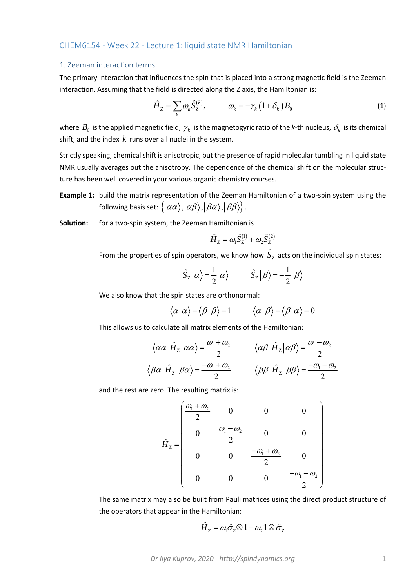## CHEM6154 ‐ Week 22 ‐ Lecture 1: liquid state NMR Hamiltonian

### 1. Zeeman interaction terms

The primary interaction that influences the spin that is placed into a strong magnetic field is the Zeeman interaction. Assuming that the field is directed along the Z axis, the Hamiltonian is:

$$
\hat{H}_Z = \sum_k \omega_k \hat{S}_Z^{(k)}, \qquad \omega_k = -\gamma_k \left(1 + \delta_k\right) B_0 \tag{1}
$$

where  $B_0$  is the applied magnetic field,  $\gamma_k$  is the magnetogyric ratio of the *k*-th nucleus,  $\delta_k$  is its chemical shift, and the index *k* runs over all nuclei in the system.

Strictly speaking, chemical shift is anisotropic, but the presence of rapid molecular tumbling in liquid state NMR usually averages out the anisotropy. The dependence of the chemical shift on the molecular struc‐ ture has been well covered in your various organic chemistry courses.

**Example 1:** build the matrix representation of the Zeeman Hamiltonian of a two-spin system using the following basis set:  $\{ |\alpha\alpha\rangle, |\alpha\beta\rangle, |\beta\alpha\rangle, |\beta\beta\rangle \}$ .

**Solution:** for a two‐spin system, the Zeeman Hamiltonian is

$$
\hat{H}_Z = \omega_1 \hat{S}_Z^{(1)} + \omega_2 \hat{S}_Z^{(2)}
$$

From the properties of spin operators, we know how  $\hat{S}_{\text{z}}$  acts on the individual spin states:

$$
\hat{S}_z|\alpha\rangle = \frac{1}{2}|\alpha\rangle
$$
  $\hat{S}_z|\beta\rangle = -\frac{1}{2}|\beta\rangle$ 

We also know that the spin states are orthonormal:

$$
\langle \alpha | \alpha \rangle = \langle \beta | \beta \rangle = 1 \qquad \langle \alpha | \beta \rangle = \langle \beta | \alpha \rangle = 0
$$

This allows us to calculate all matrix elements of the Hamiltonian:

$$
\langle \alpha \alpha | \hat{H}_z | \alpha \alpha \rangle = \frac{\omega_1 + \omega_2}{2} \qquad \langle \alpha \beta | \hat{H}_z | \alpha \beta \rangle = \frac{\omega_1 - \omega_2}{2}
$$

$$
\langle \beta \alpha | \hat{H}_z | \beta \alpha \rangle = \frac{-\omega_1 + \omega_2}{2} \qquad \langle \beta \beta | \hat{H}_z | \beta \beta \rangle = \frac{-\omega_1 - \omega_2}{2}
$$

and the rest are zero. The resulting matrix is:

$$
\hat{H}_z = \begin{pmatrix}\n\frac{\omega_1 + \omega_2}{2} & 0 & 0 & 0 \\
0 & \frac{\omega_1 - \omega_2}{2} & 0 & 0 \\
0 & 0 & \frac{-\omega_1 + \omega_2}{2} & 0 \\
0 & 0 & 0 & \frac{-\omega_1 - \omega_2}{2}\n\end{pmatrix}
$$

The same matrix may also be built from Pauli matrices using the direct product structure of the operators that appear in the Hamiltonian:

$$
\hat{H}_{\text{Z}} = \omega_1 \hat{\sigma}_2 \otimes \mathbf{1} + \omega_2 \mathbf{1} \otimes \hat{\sigma}_2
$$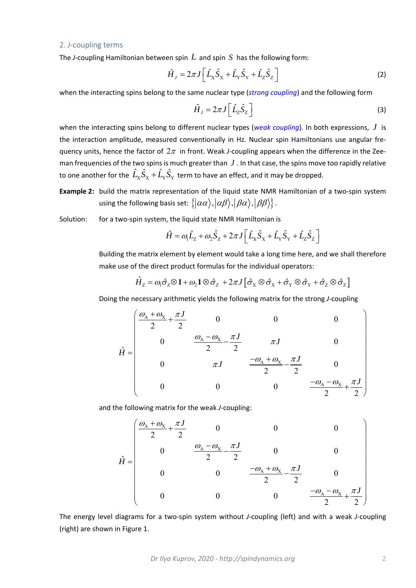#### 2. *J*‐coupling terms

The *J*-coupling Hamiltonian between spin  $L$  and spin  $S$  has the following form:

$$
\hat{H}_J = 2\pi J \left[ \hat{L}_X \hat{S}_X + \hat{L}_Y \hat{S}_Y + \hat{L}_Z \hat{S}_Z \right]
$$
\n(2)

when the interacting spins belong to the same nuclear type (*strong coupling*) and the following form

$$
\hat{H}_J = 2\pi J \left[ \hat{L}_2 \hat{S}_2 \right]
$$
 (3)

when the interacting spins belong to different nuclear types (*weak coupling*). In both expressions, *J* is the interaction amplitude, measured conventionally in Hz. Nuclear spin Hamiltonians use angular fre‐ quency units, hence the factor of  $2\pi$  in front. Weak *J*-coupling appears when the difference in the Zeeman frequencies of the two spins is much greater than  $J$ . In that case, the spins move too rapidly relative to one another for the  $\hat{L}_{\rm X}\hat{S}_{\rm X}+\hat{L}_{\rm Y}\hat{S}_{\rm Y}$  term to have an effect, and it may be dropped.

**Example 2:** build the matrix representation of the liquid state NMR Hamiltonian of a two-spin system using the following basis set:  $\{|\alpha\alpha\rangle, |\alpha\beta\rangle, |\beta\alpha\rangle, |\beta\beta\rangle\}$ .

Solution: for a two-spin system, the liquid state NMR Hamiltonian is

$$
\hat{H} = \omega_1 \hat{L}_2 + \omega_2 \hat{S}_2 + 2\pi J \left[ \hat{L}_x \hat{S}_x + \hat{L}_y \hat{S}_y + \hat{L}_z \hat{S}_z \right]
$$

Building the matrix element by element would take a long time here, and we shall therefore make use of the direct product formulas for the individual operators:

$$
\hat{H}_z = \omega_1 \hat{\sigma}_z \otimes 1 + \omega_2 1 \otimes \hat{\sigma}_z + 2\pi J \big[ \hat{\sigma}_x \otimes \hat{\sigma}_x + \hat{\sigma}_y \otimes \hat{\sigma}_y + \hat{\sigma}_z \otimes \hat{\sigma}_z \big]
$$

Doing the necessary arithmetic yields the following matrix for the strong *J*‐coupling

$$
\hat{H} = \begin{pmatrix}\n\frac{\omega_{A} + \omega_{X}}{2} + \frac{\pi J}{2} & 0 & 0 & 0 \\
0 & \frac{\omega_{A} - \omega_{X}}{2} - \frac{\pi J}{2} & \pi J & 0 \\
0 & \pi J & \frac{-\omega_{A} + \omega_{X}}{2} - \frac{\pi J}{2} & 0 \\
0 & 0 & 0 & \frac{-\omega_{A} - \omega_{X}}{2} + \frac{\pi J}{2}\n\end{pmatrix}
$$

and the following matrix for the weak *J*‐coupling:

$$
\hat{H} = \begin{pmatrix}\n\frac{\omega_{A} + \omega_{X}}{2} + \frac{\pi J}{2} & 0 & 0 & 0 \\
0 & \frac{\omega_{A} - \omega_{X}}{2} - \frac{\pi J}{2} & 0 & 0 \\
0 & 0 & \frac{-\omega_{A} + \omega_{X}}{2} - \frac{\pi J}{2} & 0 \\
0 & 0 & 0 & \frac{-\omega_{A} - \omega_{X}}{2} + \frac{\pi J}{2}\n\end{pmatrix}
$$

The energy level diagrams for a two-spin system without *J*-coupling (left) and with a weak *J*-coupling (right) are shown in Figure 1.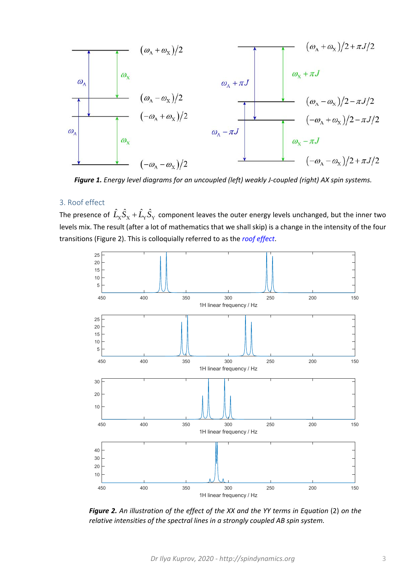

*Figure 1. Energy level diagrams for an uncoupled (left) weakly J‐coupled (right) AX spin systems.* 

# 3. Roof effect

The presence of  $\hat{L}_\mathrm{X} \hat{S}_\mathrm{X} + \hat{L}_\mathrm{Y} \hat{S}_\mathrm{Y}$  component leaves the outer energy levels unchanged, but the inner two levels mix. The result (after a lot of mathematics that we shall skip) is a change in the intensity of the four transitions (Figure 2). This is colloquially referred to as the *roof effect*.



*Figure 2. An illustration of the effect of the XX and the YY terms in Equation* (2) *on the relative intensities of the spectral lines in a strongly coupled AB spin system.*